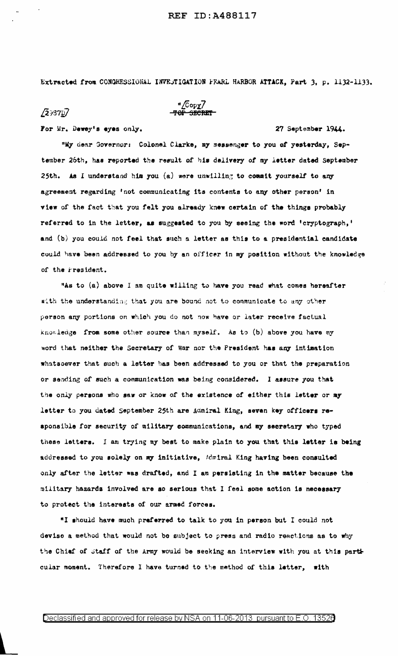Extracted from CONGRESSIOHAL INVESTIGATION FFARL HARBOR ATTACK, Part 3, p. 1132-1133.

27 September 1944.

 $\sqrt{2}$ 987 $\sqrt{2}$ 

L

"ffiopx.7 tor seemst

For Mr. Dewey's eyes only.

"My dear Governor: Colonel Clarke, my messenger to you of yesterday, September 2&th, h&s reported the r•ault *or* hie delivery *ot* my letter dated September 25th. As I understand him you (a) were unwilling to commit yourself to any agreement regarding 'not communicating its contents to any other person' in view of the fact that you felt you already knew certain of the things probably referred to in the letter, as suggested to you by seeing the word 'cryptograph,' and  $(b)$  you could not feel that such a letter as this to a presidential candidate could have been addressed to you by an officer in my position without the knowledge of the rresident.

"As to (a) above I am qulte willing to have you read what comes hereafter with the understanding that you are bound not to communicate to any other person any portions on which you do not now have or later receive factual knowledge from some other source than myself. As to  $(b)$  above you have my word that neither the Secretary of War nor the President has any intimation whatsoever that such a letter has been addressed to you or that the preparation or sending of such a communication was being considered. I assure you that the only persons who saw or know of the existence of either this letter or my letter to you dated September 25th are Admiral King, seven key officers reaponsible for security of military communications, and my secretary who typed these letters. I am trying my best to make plain to you that this letter is being addressed to you solely on my initiative, Admiral King having been consulted only after the letter was drafted, and I am persisting in the matter because the military hazards involved are so serious that I feel some action is necessary to protect the interests of our armed forces.

•I should have much pre!erred to talk to you in person but I could not deviso a method that would not be subject to press and radio reactions as to why the Chief of Staff of the Army would be seeking an interview with you at this particular moment. Therefore I have turned to the method of this letter, with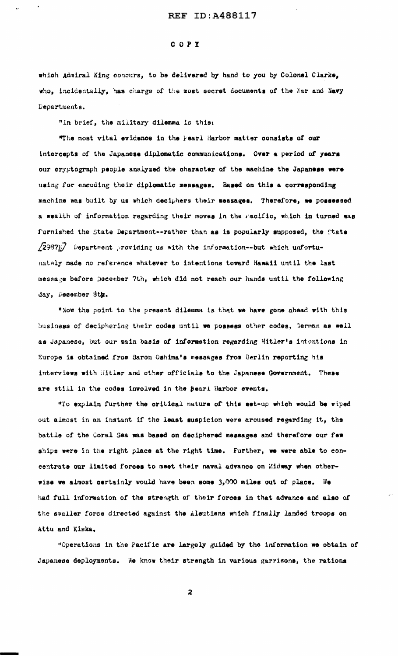## COPY

which Admiral King concurs, to be delivered by hand to you by Colonel Clarke, who, incidentally, has charge of the most secret documents of the War and Navy Departments.

"In brief, the military dilemma is this:

"The most vital evidence in the Fearl Harbor matter consists of our intercepts of the Japanese diplomatic communications. Over a period of years our cryptograph people analyzed the character of the machine the Japanese were using for encoding their diplomatic messages. Based on this a corresponding machine was built by us which deciphers their measages. Therefore, we possessed a wealth of information regarding their moves in the Pacific, which in turned was furnished the State Department--rather than as is popularly supposed, the State  $\sqrt{2}$ 987E $7$  Department providing us with the information--but which unfortunately made no reference whatever to intentions toward Hawaii until the last message before December 7th, which did not reach our hands until the following day, December Sth.

"Now the point to the present dilemma is that we have gone ahead with this business of deciphering their codes until we possess other codes, German as well as Japanese, but our main basis of information regarding Hitler's intentions in Europe is obtained from Baron Oshima's messages from Berlin reporting his interviews with Hitler and other officials to the Japanese Government. These are still in the codes involved in the pearl Harbor events.

"To explain further the critical nature of this set-up which would be wiped out almost in an instant if the least suspicion were aroused regarding it, the battle of the Coral Sea was based on deciphered messages and therefore our few ships were in the right place at the right time. Further, we were able to concentrate our limited forces to meet their naval advance on Midway when otherwise we almost certainly would have been some 3,000 miles out of place. We had full information of the strength of their forces in that advance and also of the smaller force directed against the Aleutians which finally landed troops on Attu and Kiska.

"Operations in the Pacific are largely guided by the information we obtain of Japanese deployments. We know their strength in various garrisons, the rations

 $\boldsymbol{z}$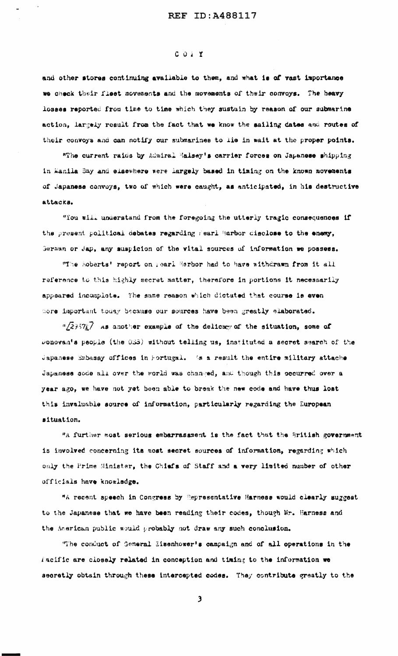## $COIY$

and other stores continuing available to them, and what is of vast importance we check their fleet movements and the movements of their convoys. The heavy losses reported from time to time which they sustain by reason of our submarine action, largely result from the fact that we know the sailing dates and routes of their convoys and can notify our submarines to lie in wait at the proper points.

"The current raids by Admiral Halsey's carrier forces on Japanese shipping in Manila Bay and elsewhere were largely based in timing on the known movements of Japanese convoys, two of which were caught, as anticipated, in his destructive attacks.

"You will understand from the foregoing the utterly tragic consequences if the present political debates regarding fearl "arbor disclose to the enemy, Garman or Jap, any suspicion of the vital sources of information we possess.

"The Soberts' report on pearl Serbor had to have withdrawn from it all reference to this highly secret matter, therefore in portions it necessarily appeared incomplete. The same reason which dictated that course is even sore important today because our sources have been greatly elaborated.

" $\sqrt{2}$ 9371) as another example of the delicacy of the situation, some of Donovan's people (the 033) without telling us, instituted a secret search of the Japanese Embassy offices in Portugal. As a result the entire military attache Japanese code all over the world was changed, and though this occurred over a year ago, we have not yet been able to break the new code and have thus lost this invaluable source of information, particularly regarding the European situation.

"A further most serious embarrassment is the fact that the British government is involved concerning its most secret sources of information, regarding which only the Prime Minister, the Chiefs of Staff and a very limited number of other officials have knowledge.

"A recent speech in Congress by Representative Harness would clearly suggest to the Japanese that we have been reading their codes, though Mr. Harness and the American public would probably not draw any such conclusion.

"The conduct of General Eisenhower's campaign and of all operations in the facific are closely related in conception and timing to the information we secretly obtain through these intercepted codes. They contribute greatly to the

 $\mathbf{3}$